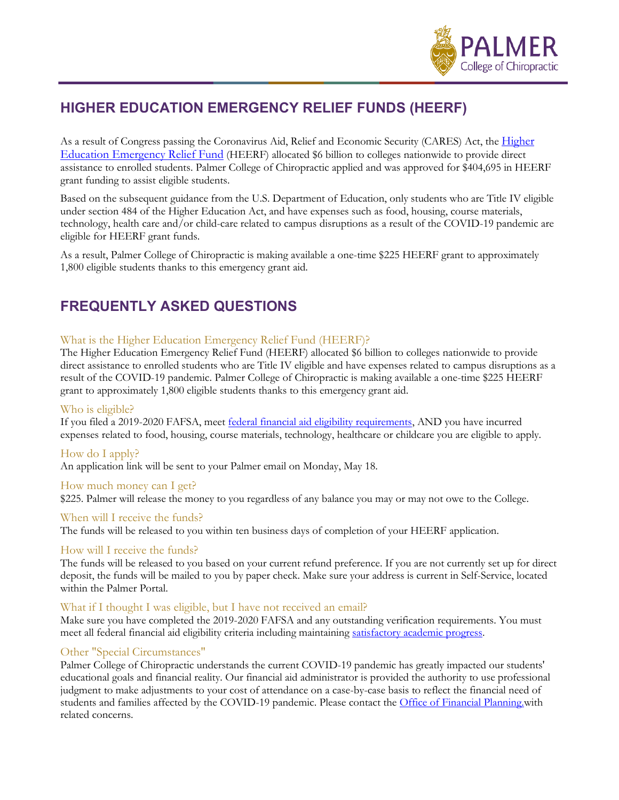

# **HIGHER EDUCATION EMERGENCY RELIEF FUNDS (HEERF)**

As a result of Congress passing the Coronavirus Aid, Relief and Economic Security (CARES) Act, the Higher [Education Emergency Relief Fund](https://www2.ed.gov/about/offices/list/ope/caresact.html) (HEERF) allocated \$6 billion to colleges nationwide to provide direct assistance to enrolled students. Palmer College of Chiropractic applied and was approved for \$404,695 in HEERF grant funding to assist eligible students.

Based on the subsequent guidance from the U.S. Department of Education, only students who are Title IV eligible under section 484 of the Higher Education Act, and have expenses such as food, housing, course materials, technology, health care and/or child-care related to campus disruptions as a result of the COVID-19 pandemic are eligible for HEERF grant funds.

As a result, Palmer College of Chiropractic is making available a one-time \$225 HEERF grant to approximately 1,800 eligible students thanks to this emergency grant aid.

## **FREQUENTLY ASKED QUESTIONS**

## What is the Higher Education Emergency Relief Fund (HEERF)?

The Higher Education Emergency Relief Fund (HEERF) allocated \$6 billion to colleges nationwide to provide direct assistance to enrolled students who are Title IV eligible and have expenses related to campus disruptions as a result of the COVID-19 pandemic. Palmer College of Chiropractic is making available a one-time \$225 HEERF grant to approximately 1,800 eligible students thanks to this emergency grant aid.

## Who is eligible?

If you filed a 2019-2020 FAFSA, meet [federal financial aid eligibility requirements,](https://studentaid.gov/understand-aid/eligibility/requirements) AND you have incurred expenses related to food, housing, course materials, technology, healthcare or childcare you are eligible to apply.

#### How do I apply?

An application link will be sent to your Palmer email on Monday, May 18.

#### How much money can I get?

\$225. Palmer will release the money to you regardless of any balance you may or may not owe to the College.

### When will I receive the funds?

The funds will be released to you within ten business days of completion of your HEERF application.

## How will I receive the funds?

The funds will be released to you based on your current refund preference. If you are not currently set up for direct deposit, the funds will be mailed to you by paper check. Make sure your address is current in Self-Service, located within the Palmer Portal.

#### What if I thought I was eligible, but I have not received an email?

Make sure you have completed the 2019-2020 FAFSA and any outstanding verification requirements. You must meet all federal financial aid eligibility criteria including maintaining [satisfactory academic progress.](https://www.palmer.edu/getmedia/5ddd3809-c4be-40e9-8b48-6bd2f0cc13a6/satisfactory-academic-progress-standards.pdf)

## Other "Special Circumstances"

Palmer College of Chiropractic understands the current COVID-19 pandemic has greatly impacted our students' educational goals and financial reality. Our financial aid administrator is provided the authority to use professional judgment to make adjustments to your cost of attendance on a case-by-case basis to reflect the financial need of students and families affected by the COVID-19 pandemic. Please contact the Office of Financial Planning with related concerns.